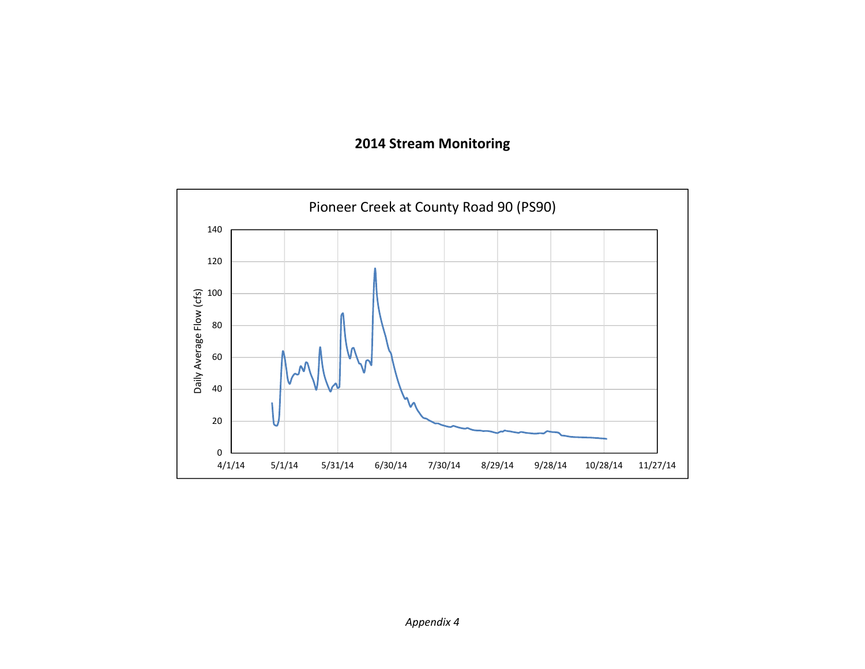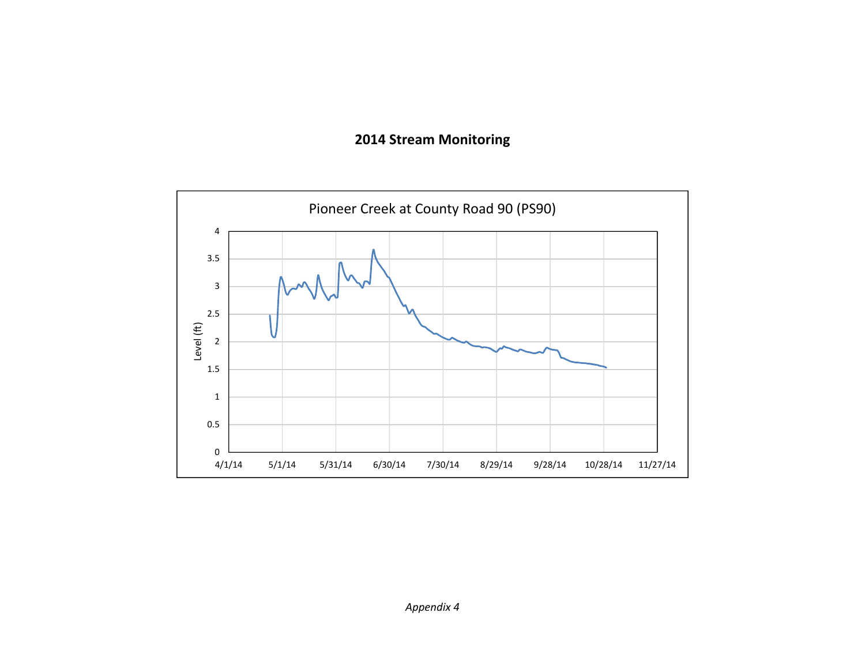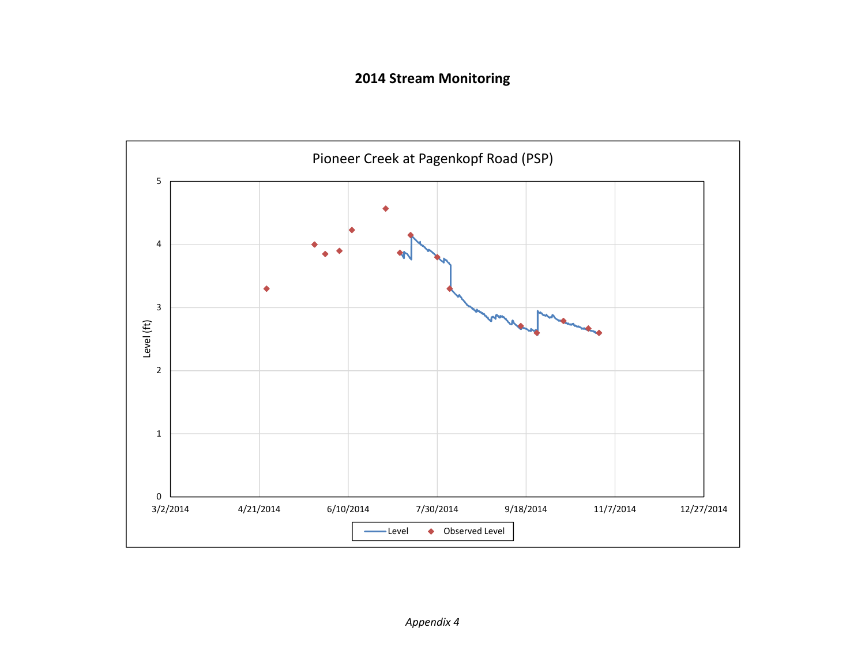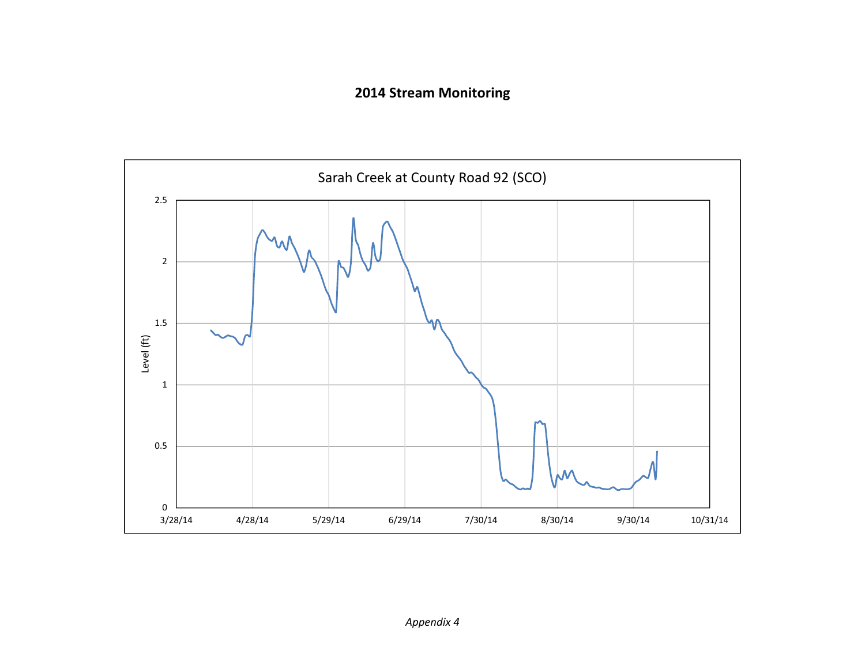